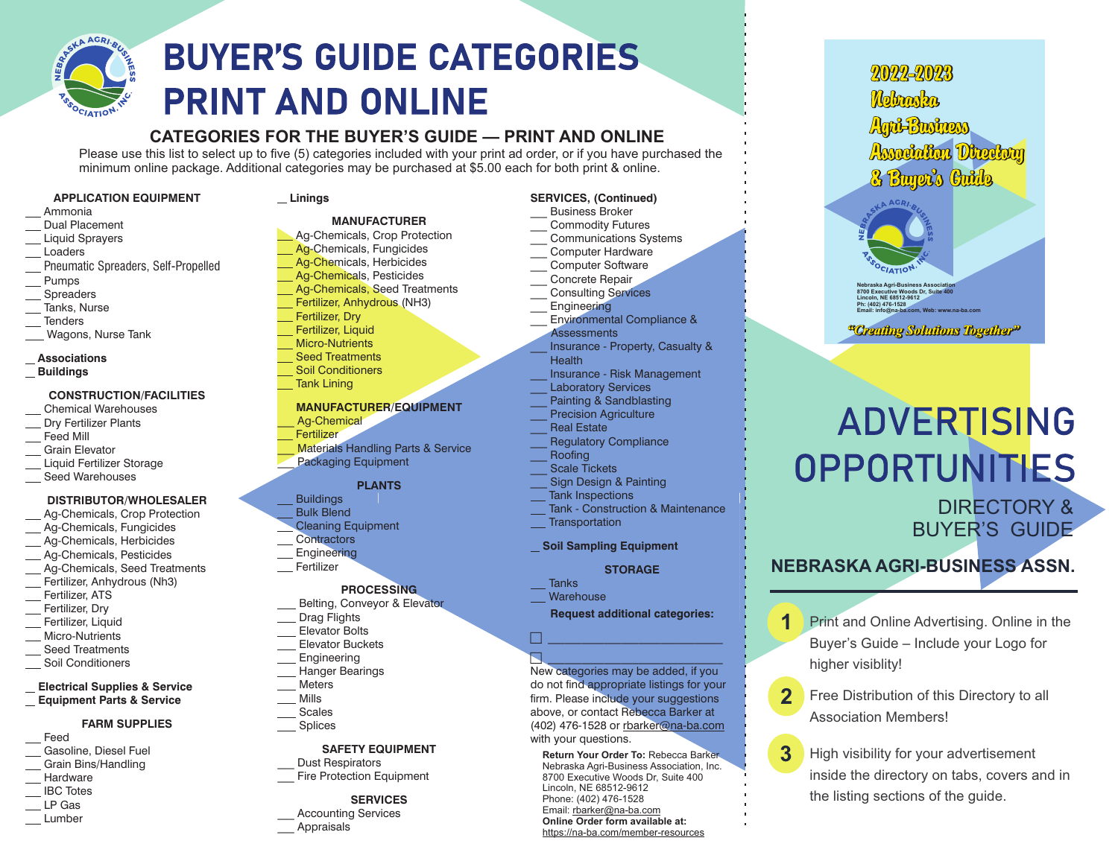

# **BUYER'S GUIDE CATEGORIES PRINT AND ONLINE**

# **CATEGORIES FOR THE BUYER'S GUIDE — PRINT AND ONLINE**

Please use this list to select up to five (5) categories included with your print ad order, or if you have purchased the minimum online package. Additional categories may be purchased at \$5.00 each for both print & online.

#### **APPLICATION EQUIPMENT**

- Ammonia
- Dual PlacementLiquid Sprayers
- Loaders
- Pneumatic Spreaders, Self-Propelled
- Pumps
- **Spreaders**
- Tanks, Nurse
- **Tenders**
- Wagons, Nurse Tank
- **Associations**
- **Buildings**

## **CONSTRUCTION/FACILITIES**

- Chemical Warehouses
- Dry Fertilizer Plants
- Feed Mill
- Grain Elevator
- Liquid Fertilizer Storage
- Seed Warehouses

#### **DISTRIBUTOR/WHOLESALER**

- Ag-Chemicals, Crop Protection
- Ag-Chemicals, Fungicides
- Ag-Chemicals, Herbicides
- Ag-Chemicals, Pesticides
- Ag-Chemicals, Seed Treatments Fertilizer, Anhydrous (Nh3)
- Fertilizer, ATS
- Fertilizer, Dry
- Fertilizer, Liquid
- Micro-Nutrients
- Seed Treatments
- Soil Conditioners

#### **Electrical Supplies & Service Equipment Parts & Service**

#### **FARM SUPPLIES**

- Feed
- Gasoline, Diesel Fuel Grain Bins/Handling
- **Hardware**
- IBC Totes
- LP Gas
- Lumber

#### **Linings**

## **MANUFACTURER**

# Ag-Chemicals, Crop Protection

- Ag-Chemicals, Fungicides
- Ag-Chemicals, Herbicides
- Ag-Chemicals, Pesticides
- Ag-Chemicals, Seed Treatments
- Fertilizer, Anhydrous (NH3)
- Fertilizer, Dry
- Fertilizer, Liquid
- Micro-Nutrients
- Seed Treatments
- Soil Conditioners
- Tank Lining

#### **MANUFACTURER/EQUIPMENT**

- Ag-Chemical
- Fertilizer
- **Materials Handling Parts & Service** 
	- Packaging Equipment

## **PLANTS**

- Buildings
- Bulk BlendCleaning Equipment
- **Contractors**
- **Engineering**
- Fertilizer

## **PROCESSING**

- Belting, Conveyor & Elevator
- Drag Flights
- Elevator Bolts
- Elevator Buckets
- Engineering
- Hanger Bearings
- MetersMills
- Scales
- Splices

#### **SAFETY EQUIPMENT**

Dust Respirators Fire Protection Equipment

# **SERVICES**

\_\_\_ Accounting Services **Appraisals** 

# **SERVICES, (Continued)**

- \_\_\_ Business Broker Commodity Futures
- \_\_\_ Communications Systems
- \_\_\_ Computer Hardware
- Computer Software
- \_\_\_ Concrete Repair Consulting Services
- **Engineering**
- Environmental Compliance &
- **Assessments** \_\_\_ Insurance - Property, Casualty &
- **Health**

Tank - Construction & Maintenance

**STORAGE**

**Request additional categories:**

New categories may be added, if you do not find appropriate listings for your firm. Please include your suggestions above, or contact Rebecca Barker at (402) 476-1528 or rbarker@na-ba.com

**Return Your Order To:** Rebecca Barker Nebraska Agri-Business Association, Inc. 8700 Executive Woods Dr, Suite 400

DIRECTORY &BUYER'S GUIDE

**NEBRASKA AGRI-BUSINESS ASSN.**

**Nebraska Agri-Business Association 8700 Executive Woods Dr, Suite 400 Lincoln, NE 68512-9612 Ph: (402) 476-1528 Email: info@na-ba.com, Web: www.na-ba.com**

2022-2023

Anti-Business

Awnunding Dinnerum

& Buyet's Guide

<sup>a</sup>Crenting Solutions Together<sup>2</sup>

**OPPORTUNITIES** 

**ADVERTISING** 

Mohamska

higher visiblity!

**1**

**2**

**3**

Association Members!

Print and Online Advertising. Online in the Buyer's Guide – Include your Logo for

Free Distribution of this Directory to all

High visibility for your advertisement inside the directory on tabs, covers and in

the listing sections of the guide.

- \_\_\_ Insurance Risk Management
- Laboratory Services Painting & Sandblasting
- Precision Agriculture
- Real Estate
- Regulatory Compliance
- <u>\_\_\_</u> Roofing
- Scale Tickets

**Transportation** 

with your questions.

Lincoln, NE 68512-9612 Phone: (402) 476-1528 Email: rbarker@na-ba.com **Online Order form available at:**https://na-ba.com/member-resources

**Tanks Warehouse** 

 $\Box$  $\blacksquare$ 

**Soil Sampling Equipment**

Sign Design & Painting Tank Inspections